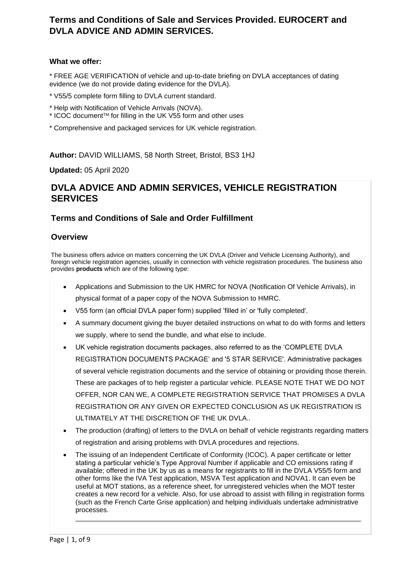# **Terms and Conditions of Sale and Services Provided. EUROCERT and DVLA ADVICE AND ADMIN SERVICES.**

### **What we offer:**

\* FREE AGE VERIFICATION of vehicle and up-to-date briefing on DVLA acceptances of dating evidence (we do not provide dating evidence for the DVLA).

- \* V55/5 complete form filling to DVLA current standard.
- \* Help with Notification of Vehicle Arrivals (NOVA).
- \* ICOC documentTM for filling in the UK V55 form and other uses
- \* Comprehensive and packaged services for UK vehicle registration.

**Author:** DAVID WILLIAMS, 58 North Street, Bristol, BS3 1HJ

**Updated:** 05 April 2020

# **DVLA ADVICE AND ADMIN SERVICES, VEHICLE REGISTRATION SERVICES**

## **Terms and Conditions of Sale and Order Fulfillment**

## **Overview**

The business offers advice on matters concerning the UK DVLA (Driver and Vehicle Licensing Authority), and foreign vehicle registration agencies, usually in connection with vehicle registration procedures. The business also provides **products** which are of the following type:

- Applications and Submission to the UK HMRC for NOVA (Notification Of Vehicle Arrivals), in physical format of a paper copy of the NOVA Submission to HMRC.
- V55 form (an official DVLA paper form) supplied 'filled in' or 'fully completed'.
- A summary document giving the buyer detailed instructions on what to do with forms and letters we supply, where to send the bundle, and what else to include.
- UK vehicle registration documents packages, also referred to as the 'COMPLETE DVLA REGISTRATION DOCUMENTS PACKAGE' and '5 STAR SERVICE'. Administrative packages of several vehicle registration documents and the service of obtaining or providing those therein. These are packages of to help register a particular vehicle. PLEASE NOTE THAT WE DO NOT OFFER, NOR CAN WE, A COMPLETE REGISTRATION SERVICE THAT PROMISES A DVLA REGISTRATION OR ANY GIVEN OR EXPECTED CONCLUSION AS UK REGISTRATION IS ULTIMATELY AT THE DISCRETION OF THE UK DVLA..
- The production (drafting) of letters to the DVLA on behalf of vehicle registrants regarding matters of registration and arising problems with DVLA procedures and rejections.
- The issuing of an Independent Certificate of Conformity (ICOC). A paper certificate or letter stating a particular vehicle's Type Approval Number if applicable and CO emissions rating if available; offered in the UK by us as a means for registrants to fill in the DVLA V55/5 form and other forms like the IVA Test application, MSVA Test application and NOVA1. It can even be useful at MOT stations, as a reference sheet, for unregistered vehicles when the MOT tester creates a new record for a vehicle. Also, for use abroad to assist with filling in registration forms (such as the French Carte Grise application) and helping individuals undertake administrative processes.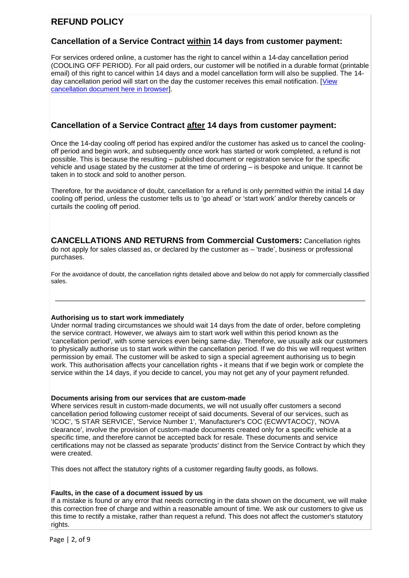# **REFUND POLICY**

## **Cancellation of a Service Contract within 14 days from customer payment:**

For services ordered online, a customer has the right to cancel within a 14-day cancellation period (COOLING OFF PERIOD). For all paid orders, our customer will be notified in a durable format (printable email) of this right to cancel within 14 days and a model cancellation form will also be supplied. The 14 day cancellation period will start on the day the customer receives this email notification. [\[View](file:///C:/Users/My%20Pc/OneDrive/Web%20sites/dvlaadvice%20website/wwwroot/dvlaadvice.co.uk/14%20Day%20Cancellation%20information%20and%20form.pdf)  [cancellation document here in browser\]](file:///C:/Users/My%20Pc/OneDrive/Web%20sites/dvlaadvice%20website/wwwroot/dvlaadvice.co.uk/14%20Day%20Cancellation%20information%20and%20form.pdf).

## **Cancellation of a Service Contract after 14 days from customer payment:**

Once the 14-day cooling off period has expired and/or the customer has asked us to cancel the coolingoff period and begin work, and subsequently once work has started or work completed, a refund is not possible. This is because the resulting – published document or registration service for the specific vehicle and usage stated by the customer at the time of ordering – is bespoke and unique. It cannot be taken in to stock and sold to another person.

Therefore, for the avoidance of doubt, cancellation for a refund is only permitted within the initial 14 day cooling off period, unless the customer tells us to 'go ahead' or 'start work' and/or thereby cancels or curtails the cooling off period.

**CANCELLATIONS AND RETURNS from Commercial Customers:** Cancellation rights do not apply for sales classed as, or declared by the customer as – 'trade', business or professional purchases.

For the avoidance of doubt, the cancellation rights detailed above and below do not apply for commercially classified sales.

#### **Authorising us to start work immediately**

Under normal trading circumstances we should wait 14 days from the date of order, before completing the service contract. However, we always aim to start work well within this period known as the 'cancellation period', with some services even being same-day. Therefore, we usually ask our customers to physically authorise us to start work within the cancellation period. If we do this we will request written permission by email. The customer will be asked to sign a special agreement authorising us to begin work. This authorisation affects your cancellation rights **-** it means that if we begin work or complete the service within the 14 days, if you decide to cancel, you may not get any of your payment refunded.

#### **Documents arising from our services that are custom-made**

Where services result in custom-made documents, we will not usually offer customers a second cancellation period following customer receipt of said documents. Several of our services, such as 'ICOC', '5 STAR SERVICE', 'Service Number 1', 'Manufacturer's COC (ECWVTACOC)', 'NOVA clearance', involve the provision of custom-made documents created only for a specific vehicle at a specific time, and therefore cannot be accepted back for resale. These documents and service certifications may not be classed as separate 'products' distinct from the Service Contract by which they were created.

This does not affect the statutory rights of a customer regarding faulty goods, as follows.

#### **Faults, in the case of a document issued by us**

If a mistake is found or any error that needs correcting in the data shown on the document, we will make this correction free of charge and within a reasonable amount of time. We ask our customers to give us this time to rectify a mistake, rather than request a refund. This does not affect the customer's statutory rights.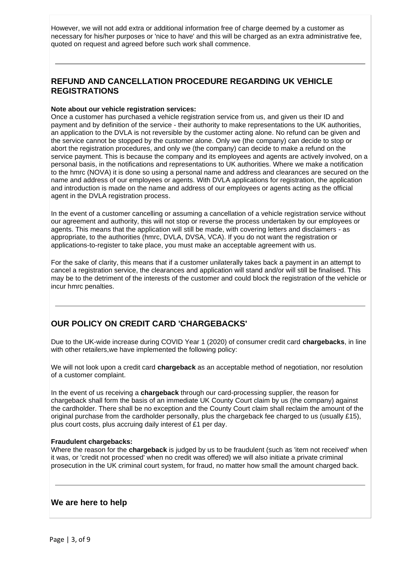However, we will not add extra or additional information free of charge deemed by a customer as necessary for his/her purposes or 'nice to have' and this will be charged as an extra administrative fee, quoted on request and agreed before such work shall commence.

## **REFUND AND CANCELLATION PROCEDURE REGARDING UK VEHICLE REGISTRATIONS**

#### **Note about our vehicle registration services:**

Once a customer has purchased a vehicle registration service from us, and given us their ID and payment and by definition of the service - their authority to make representations to the UK authorities, an application to the DVLA is not reversible by the customer acting alone. No refund can be given and the service cannot be stopped by the customer alone. Only we (the company) can decide to stop or abort the registration procedures, and only we (the company) can decide to make a refund on the service payment. This is because the company and its employees and agents are actively involved, on a personal basis, in the notifications and representations to UK authorities. Where we make a notification to the hmrc (NOVA) it is done so using a personal name and address and clearances are secured on the name and address of our employees or agents. With DVLA applications for registration, the application and introduction is made on the name and address of our employees or agents acting as the official agent in the DVLA registration process.

In the event of a customer cancelling or assuming a cancellation of a vehicle registration service without our agreement and authority, this will not stop or reverse the process undertaken by our employees or agents. This means that the application will still be made, with covering letters and disclaimers - as appropriate, to the authorities (hmrc, DVLA, DVSA, VCA). If you do not want the registration or applications-to-register to take place, you must make an acceptable agreement with us.

For the sake of clarity, this means that if a customer unilaterally takes back a payment in an attempt to cancel a registration service, the clearances and application will stand and/or will still be finalised. This may be to the detriment of the interests of the customer and could block the registration of the vehicle or incur hmrc penalties.

# **OUR POLICY ON CREDIT CARD 'CHARGEBACKS'**

Due to the UK-wide increase during COVID Year 1 (2020) of consumer credit card **chargebacks**, in line with other retailers, we have implemented the following policy:

We will not look upon a credit card **chargeback** as an acceptable method of negotiation, nor resolution of a customer complaint.

In the event of us receiving a **chargeback** through our card-processing supplier, the reason for chargeback shall form the basis of an immediate UK County Court claim by us (the company) against the cardholder. There shall be no exception and the County Court claim shall reclaim the amount of the original purchase from the cardholder personally, plus the chargeback fee charged to us (usually £15), plus court costs, plus accruing daily interest of £1 per day.

#### **Fraudulent chargebacks:**

Where the reason for the **chargeback** is judged by us to be fraudulent (such as 'item not received' when it was, or 'credit not processed' when no credit was offered) we will also initiate a private criminal prosecution in the UK criminal court system, for fraud, no matter how small the amount charged back.

### **We are here to help**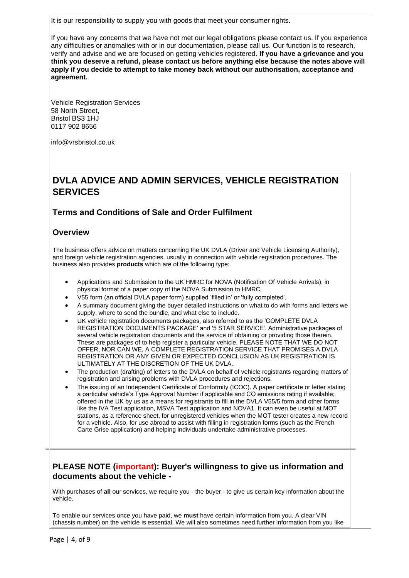It is our responsibility to supply you with goods that meet your consumer rights.

If you have any concerns that we have not met our legal obligations please contact us. If you experience any difficulties or anomalies with or in our documentation, please call us. Our function is to research, verify and advise and we are focused on getting vehicles registered. **If you have a grievance and you think you deserve a refund, please contact us before anything else because the notes above will apply if you decide to attempt to take money back without our authorisation, acceptance and agreement.**

Vehicle Registration Services 58 North Street, Bristol BS3 1HJ 0117 902 8656

info@vrsbristol.co.uk

# **DVLA ADVICE AND ADMIN SERVICES, VEHICLE REGISTRATION SERVICES**

## **Terms and Conditions of Sale and Order Fulfilment**

#### **Overview**

The business offers advice on matters concerning the UK DVLA (Driver and Vehicle Licensing Authority), and foreign vehicle registration agencies, usually in connection with vehicle registration procedures. The business also provides **products** which are of the following type:

- Applications and Submission to the UK HMRC for NOVA (Notification Of Vehicle Arrivals), in physical format of a paper copy of the NOVA Submission to HMRC.
- V55 form (an official DVLA paper form) supplied 'filled in' or 'fully completed'.
- A summary document giving the buyer detailed instructions on what to do with forms and letters we supply, where to send the bundle, and what else to include.
- UK vehicle registration documents packages, also referred to as the 'COMPLETE DVLA REGISTRATION DOCUMENTS PACKAGE' and '5 STAR SERVICE'. Administrative packages of several vehicle registration documents and the service of obtaining or providing those therein. These are packages of to help register a particular vehicle. PLEASE NOTE THAT WE DO NOT OFFER, NOR CAN WE, A COMPLETE REGISTRATION SERVICE THAT PROMISES A DVLA REGISTRATION OR ANY GIVEN OR EXPECTED CONCLUSION AS UK REGISTRATION IS ULTIMATELY AT THE DISCRETION OF THE UK DVLA..
- The production (drafting) of letters to the DVLA on behalf of vehicle registrants regarding matters of registration and arising problems with DVLA procedures and rejections.
- The issuing of an Independent Certificate of Conformity (ICOC). A paper certificate or letter stating a particular vehicle's Type Approval Number if applicable and CO emissions rating if available; offered in the UK by us as a means for registrants to fill in the DVLA V55/5 form and other forms like the IVA Test application, MSVA Test application and NOVA1. It can even be useful at MOT stations, as a reference sheet, for unregistered vehicles when the MOT tester creates a new record for a vehicle. Also, for use abroad to assist with filling in registration forms (such as the French Carte Grise application) and helping individuals undertake administrative processes.

## **PLEASE NOTE (important): Buyer's willingness to give us information and documents about the vehicle -**

With purchases of **all** our services, we require you - the buyer - to give us certain key information about the vehicle.

To enable our services once you have paid, we **must** have certain information from you. A clear VIN (chassis number) on the vehicle is essential. We will also sometimes need further information from you like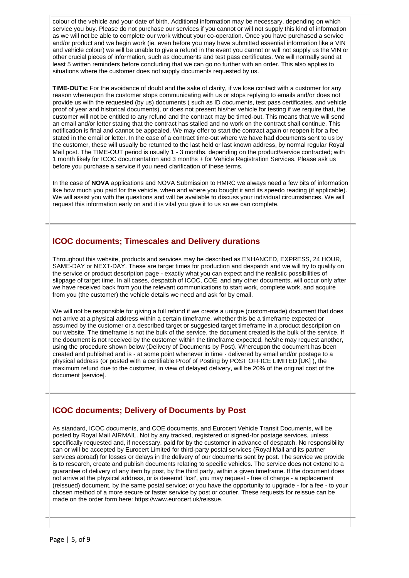colour of the vehicle and your date of birth. Additional information may be necessary, depending on which service you buy. Please do not purchase our services if you cannot or will not supply this kind of information as we will not be able to complete our work without your co-operation. Once you have purchased a service and/or product and we begin work (ie. even before you may have submitted essential information like a VIN and vehicle colour) we will be unable to give a refund in the event you cannot or will not supply us the VIN or other crucial pieces of information, such as documents and test pass certificates. We will normally send at least 5 written reminders before concluding that we can go no further with an order. This also applies to situations where the customer does not supply documents requested by us.

**TIME-OUTs:** For the avoidance of doubt and the sake of clarity, if we lose contact with a customer for any reason whereupon the customer stops communicating with us or stops replying to emails and/or does not provide us with the requested (by us) documents ( such as ID documents, test pass certificates, and vehicle proof of year and historical documents), or does not present his/her vehicle for testing if we require that, the customer will not be entitled to any refund and the contract may be timed-out. This means that we will send an email and/or letter stating that the contract has stalled and no work on the contract shall continue. This notification is final and cannot be appealed. We may offer to start the contract again or reopen it for a fee stated in the email or letter. In the case of a contract time-out where we have had documents sent to us by the customer, these will usually be returned to the last held or last known address, by normal regular Royal Mail post. The TIME-OUT period is usually 1 - 3 months, depending on the product/service contracted; with 1 month likely for ICOC documentation and 3 months + for Vehicle Registration Services. Please ask us before you purchase a service if you need clarification of these terms.

In the case of **NOVA** applications and NOVA Submission to HMRC we always need a few bits of information like how much you paid for the vehicle, when and where you bought it and its speedo reading (if applicable). We will assist you with the questions and will be available to discuss your individual circumstances. We will request this information early on and it is vital you give it to us so we can complete.

## **ICOC documents; Timescales and Delivery durations**

Throughout this website, products and services may be described as ENHANCED, EXPRESS, 24 HOUR, SAME-DAY or NEXT-DAY. These are target times for production and despatch and we will try to qualify on the service or product description page - exactly what you can expect and the realistic possibilities of slippage of target time. In all cases, despatch of ICOC, COE, and any other documents, will occur only after we have received back from you the relevant communications to start work, complete work, and acquire from you (the customer) the vehicle details we need and ask for by email.

We will not be responsible for giving a full refund if we create a unique (custom-made) document that does not arrive at a physical address within a certain timeframe, whether this be a timeframe expected or assumed by the customer or a described target or suggested target timeframe in a product description on our website. The timeframe is not the bulk of the service, the document created is the bulk of the service. If the document is not received by the customer within the timeframe expected, he/she may request another, using the procedure shown below (Delivery of Documents by Post). Whereupon the document has been created and published and is - at some point whenever in time - delivered by email and/or postage to a physical address (or posted with a certifiable Proof of Posting by POST OFFICE LIMITED [UK] ), the maximum refund due to the customer, in view of delayed delivery, will be 20% of the original cost of the document [service].

# **ICOC documents; Delivery of Documents by Post**

As standard, ICOC documents, and COE documents, and Eurocert Vehicle Transit Documents, will be posted by Royal Mail AIRMAIL. Not by any tracked, registered or signed-for postage services, unless specifically requested and, if necessary, paid for by the customer in advance of despatch. No responsibility can or will be accepted by Eurocert Limited for third-party postal services (Royal Mail and its partner services abroad) for losses or delays in the delivery of our documents sent by post. The service we provide is to research, create and publish documents relating to specific vehicles. The service does not extend to a guarantee of delivery of any item by post, by the third party, within a given timeframe. If the document does not arrive at the physical address, or is deeemd 'lost', you may request - free of charge - a replacement (reissued) document, by the same postal service; or you have the opportunity to upgrade - for a fee - to your chosen method of a more secure or faster service by post or courier. These requests for reissue can be made on the order form here: https://www.eurocert.uk/reissue.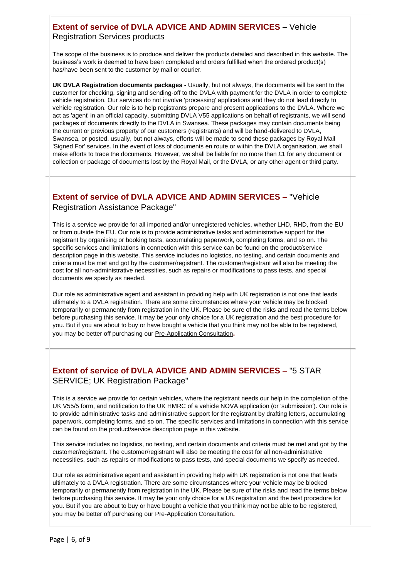## **Extent of service of DVLA ADVICE AND ADMIN SERVICES** – Vehicle Registration Services products

The scope of the business is to produce and deliver the products detailed and described in this website. The business's work is deemed to have been completed and orders fulfilled when the ordered product(s) has/have been sent to the customer by mail or courier.

**UK DVLA Registration documents packages -** Usually, but not always, the documents will be sent to the customer for checking, signing and sending-off to the DVLA with payment for the DVLA in order to complete vehicle registration. Our services do not involve 'processing' applications and they do not lead directly to vehicle registration. Our role is to help registrants prepare and present applications to the DVLA. Where we act as 'agent' in an official capacity, submitting DVLA V55 applications on behalf of registrants, we will send packages of documents directly to the DVLA in Swansea. These packages may contain documents being the current or previous property of our customers (registrants) and will be hand-delivered to DVLA, Swansea, or posted. usually, but not always, efforts will be made to send these packages by Royal Mail 'Signed For' services. In the event of loss of documents en route or within the DVLA organisation, we shall make efforts to trace the documents. However, we shall be liable for no more than £1 for any document or collection or package of documents lost by the Royal Mail, or the DVLA, or any other agent or third party.

# **Extent of service of DVLA ADVICE AND ADMIN SERVICES –** "Vehicle Registration Assistance Package"

This is a service we provide for all imported and/or unregistered vehicles, whether LHD, RHD, from the EU or from outside the EU. Our role is to provide administrative tasks and administrative support for the registrant by organising or booking tests, accumulating paperwork, completing forms, and so on. The specific services and limitations in connection with this service can be found on the product/service description page in this website. This service includes no logistics, no testing, and certain documents and criteria must be met and got by the customer/registrant. The customer/registrant will also be meeting the cost for all non-administrative necessities, such as repairs or modifications to pass tests, and special documents we specify as needed.

Our role as administrative agent and assistant in providing help with UK registration is not one that leads ultimately to a DVLA registration. There are some circumstances where your vehicle may be blocked temporarily or permanently from registration in the UK. Please be sure of the risks and read the terms below before purchasing this service. It may be your only choice for a UK registration and the best procedure for you. But if you are about to buy or have bought a vehicle that you think may not be able to be registered, you may be better off purchasing ou[r Pre-Application Consultation](file:///C:/Users/My%20Pc/OneDrive/Web%20sites/dvlaadvice%20website/wwwroot/dvlaadvice.co.uk/pre_app_registration.htm)**.**

# **Extent of service of DVLA ADVICE AND ADMIN SERVICES –** "5 STAR SERVICE; UK Registration Package"

This is a service we provide for certain vehicles, where the registrant needs our help in the completion of the UK V55/5 form, and notification to the UK HMRC of a vehicle NOVA application (or 'submission'). Our role is to provide administrative tasks and administrative support for the registrant by drafting letters, accumulating paperwork, completing forms, and so on. The specific services and limitations in connection with this service can be found on the product/service description page in this website.

This service includes no logistics, no testing, and certain documents and criteria must be met and got by the customer/registrant. The customer/registrant will also be meeting the cost for all non-administrative necessities, such as repairs or modifications to pass tests, and special documents we specify as needed.

Our role as administrative agent and assistant in providing help with UK registration is not one that leads ultimately to a DVLA registration. There are some circumstances where your vehicle may be blocked temporarily or permanently from registration in the UK. Please be sure of the risks and read the terms below before purchasing this service. It may be your only choice for a UK registration and the best procedure for you. But if you are about to buy or have bought a vehicle that you think may not be able to be registered, you may be better off purchasing ou[r Pre-Application Consultation](file:///C:/Users/My%20Pc/OneDrive/Web%20sites/dvlaadvice%20website/wwwroot/dvlaadvice.co.uk/pre_app_registration.htm)**.**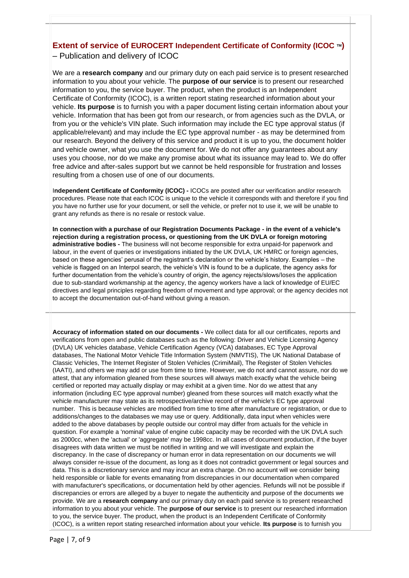## **Extent of service of EUROCERT Independent Certificate of Conformity (ICOC ™)** – Publication and delivery of ICOC

We are a **research company** and our primary duty on each paid service is to present researched information to you about your vehicle. The **purpose of our service** is to present our researched information to you, the service buyer. The product, when the product is an Independent Certificate of Conformity (ICOC), is a written report stating researched information about your vehicle. **Its purpose** is to furnish you with a paper document listing certain information about your vehicle. Information that has been got from our research, or from agencies such as the DVLA, or from you or the vehicle's VIN plate. Such information may include the EC type approval status (if applicable/relevant) and may include the EC type approval number - as may be determined from our research. Beyond the delivery of this service and product it is up to you, the document holder and vehicle owner, what you use the document for. We do not offer any guarantees about any uses you choose, nor do we make any promise about what its issuance may lead to. We do offer free advice and after-sales support but we cannot be held responsible for frustration and losses resulting from a chosen use of one of our documents.

I**ndependent Certificate of Conformity (ICOC) -** ICOCs are posted after our verification and/or research procedures. Please note that each ICOC is unique to the vehicle it corresponds with and therefore if you find you have no further use for your document, or sell the vehicle, or prefer not to use it, we will be unable to grant any refunds as there is no resale or restock value.

**In connection with a purchase of our Registration Documents Package - in the event of a vehicle's rejection during a registration process, or questioning from the UK DVLA or foreign motoring administrative bodies -** The business will not become responsible for extra unpaid-for paperwork and labour, in the event of queries or investigations initiated by the UK DVLA, UK HMRC or foreign agencies, based on these agencies' perusal of the registrant's declaration or the vehicle's history. Examples – the vehicle is flagged on an Interpol search, the vehicle's VIN is found to be a duplicate, the agency asks for further documentation from the vehicle's country of origin, the agency rejects/slows/loses the application due to sub-standard workmanship at the agency, the agency workers have a lack of knowledge of EU/EC directives and legal principles regarding freedom of movement and type approval; or the agency decides not to accept the documentation out-of-hand without giving a reason.

**Accuracy of information stated on our documents -** We collect data for all our certificates, reports and verifications from open and public databases such as the following: Driver and Vehicle Licensing Agency (DVLA) UK vehicles database, Vehicle Certification Agency (VCA) databases, EC Type Approval databases, The National Motor Vehicle Title Information System (NMVTIS), The UK National Database of Classic Vehicles, The Internet Register of Stolen Vehicles (CrimiMail), The Register of Stolen Vehicles (IAATI), and others we may add or use from time to time. However, we do not and cannot assure, nor do we attest, that any information gleaned from these sources will always match exactly what the vehicle being certified or reported may actually display or may exhibit at a given time. Nor do we attest that any information (including EC type approval number) gleaned from these sources will match exactly what the vehicle manufacturer may state as its retrospective/archive record of the vehicle's EC type approval number. This is because vehicles are modified from time to time after manufacture or registration, or due to additions/changes to the databases we may use or query. Additionally, data input when vehicles were added to the above databases by people outside our control may differ from actuals for the vehicle in question. For example a 'nominal' value of engine cubic capacity may be recorded with the UK DVLA such as 2000cc, when the 'actual' or 'aggregate' may be 1998cc. In all cases of document production, if the buyer disagrees with data written we must be notified in writing and we will investigate and explain the discrepancy. In the case of discrepancy or human error in data representation on our documents we will always consider re-issue of the document, as long as it does not contradict government or legal sources and data. This is a discretionary service and may incur an extra charge. On no account will we consider being held responsible or liable for events emanating from discrepancies in our documentation when compared with manufacturer's specifications, or documentation held by other agencies. Refunds will not be possible if discrepancies or errors are alleged by a buyer to negate the authenticity and purpose of the documents we provide. We are a **research company** and our primary duty on each paid service is to present researched information to you about your vehicle. The **purpose of our service** is to present our researched information to you, the service buyer. The product, when the product is an Independent Certificate of Conformity (ICOC), is a written report stating researched information about your vehicle. **Its purpose** is to furnish you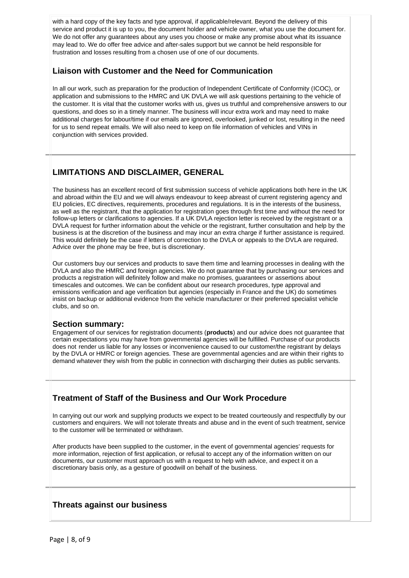with a hard copy of the key facts and type approval, if applicable/relevant. Beyond the delivery of this service and product it is up to you, the document holder and vehicle owner, what you use the document for. We do not offer any guarantees about any uses you choose or make any promise about what its issuance may lead to. We do offer free advice and after-sales support but we cannot be held responsible for frustration and losses resulting from a chosen use of one of our documents.

## **Liaison with Customer and the Need for Communication**

In all our work, such as preparation for the production of Independent Certificate of Conformity (ICOC), or application and submissions to the HMRC and UK DVLA we will ask questions pertaining to the vehicle of the customer. It is vital that the customer works with us, gives us truthful and comprehensive answers to our questions, and does so in a timely manner. The business will incur extra work and may need to make additional charges for labour/time if our emails are ignored, overlooked, junked or lost, resulting in the need for us to send repeat emails. We will also need to keep on file information of vehicles and VINs in conjunction with services provided.

## **LIMITATIONS AND DISCLAIMER, GENERAL**

The business has an excellent record of first submission success of vehicle applications both here in the UK and abroad within the EU and we will always endeavour to keep abreast of current registering agency and EU policies, EC directives, requirements, procedures and regulations. It is in the interests of the business, as well as the registrant, that the application for registration goes through first time and without the need for follow-up letters or clarifications to agencies. If a UK DVLA rejection letter is received by the registrant or a DVLA request for further information about the vehicle or the registrant, further consultation and help by the business is at the discretion of the business and may incur an extra charge if further assistance is required. This would definitely be the case if letters of correction to the DVLA or appeals to the DVLA are required. Advice over the phone may be free, but is discretionary.

Our customers buy our services and products to save them time and learning processes in dealing with the DVLA and also the HMRC and foreign agencies. We do not guarantee that by purchasing our services and products a registration will definitely follow and make no promises, guarantees or assertions about timescales and outcomes. We can be confident about our research procedures, type approval and emissions verification and age verification but agencies (especially in France and the UK) do sometimes insist on backup or additional evidence from the vehicle manufacturer or their preferred specialist vehicle clubs, and so on.

#### **Section summary:**

Engagement of our services for registration documents (**products**) and our advice does not guarantee that certain expectations you may have from governmental agencies will be fulfilled. Purchase of our products does not render us liable for any losses or inconvenience caused to our customer/the registrant by delays by the DVLA or HMRC or foreign agencies. These are governmental agencies and are within their rights to demand whatever they wish from the public in connection with discharging their duties as public servants.

## **Treatment of Staff of the Business and Our Work Procedure**

In carrying out our work and supplying products we expect to be treated courteously and respectfully by our customers and enquirers. We will not tolerate threats and abuse and in the event of such treatment, service to the customer will be terminated or withdrawn.

After products have been supplied to the customer, in the event of governmental agencies' requests for more information, rejection of first application, or refusal to accept any of the information written on our documents, our customer must approach us with a request to help with advice, and expect it on a discretionary basis only, as a gesture of goodwill on behalf of the business.

### **Threats against our business**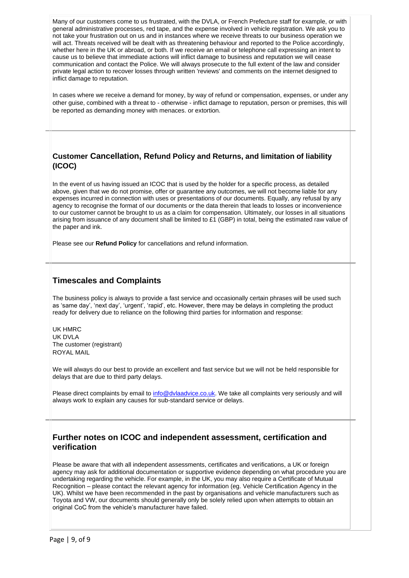Many of our customers come to us frustrated, with the DVLA, or French Prefecture staff for example, or with general administrative processes, red tape, and the expense involved in vehicle registration. We ask you to not take your frustration out on us and in instances where we receive threats to our business operation we will act. Threats received will be dealt with as threatening behaviour and reported to the Police accordingly, whether here in the UK or abroad, or both. If we receive an email or telephone call expressing an intent to cause us to believe that immediate actions will inflict damage to business and reputation we will cease communication and contact the Police. We will always prosecute to the full extent of the law and consider private legal action to recover losses through written 'reviews' and comments on the internet designed to inflict damage to reputation.

In cases where we receive a demand for money, by way of refund or compensation, expenses, or under any other guise, combined with a threat to - otherwise - inflict damage to reputation, person or premises, this will be reported as demanding money with menaces. or extortion.

## **Customer Cancellation, Refund Policy and Returns, and limitation of liability (ICOC)**

In the event of us having issued an ICOC that is used by the holder for a specific process, as detailed above, given that we do not promise, offer or guarantee any outcomes, we will not become liable for any expenses incurred in connection with uses or presentations of our documents. Equally, any refusal by any agency to recognise the format of our documents or the data therein that leads to losses or inconvenience to our customer cannot be brought to us as a claim for compensation. Ultimately, our losses in all situations arising from issuance of any document shall be limited to £1 (GBP) in total, being the estimated raw value of the paper and ink.

Please see our **Refund Policy** for cancellations and refund information.

## **Timescales and Complaints**

The business policy is always to provide a fast service and occasionally certain phrases will be used such as 'same day', 'next day', 'urgent', 'rapid', etc. However, there may be delays in completing the product ready for delivery due to reliance on the following third parties for information and response:

UK HMRC UK DVLA The customer (registrant) ROYAL MAIL

We will always do our best to provide an excellent and fast service but we will not be held responsible for delays that are due to third party delays.

Please direct complaints by email t[o info@dvlaadvice.co.uk.](mailto:info@dvlaadvice.co.uk) We take all complaints very seriously and will always work to explain any causes for sub-standard service or delays.

## **Further notes on ICOC and independent assessment, certification and verification**

Please be aware that with all independent assessments, certificates and verifications, a UK or foreign agency may ask for additional documentation or supportive evidence depending on what procedure you are undertaking regarding the vehicle. For example, in the UK, you may also require a Certificate of Mutual Recognition – please contact the relevant agency for information (eg. Vehicle Certification Agency in the UK). Whilst we have been recommended in the past by organisations and vehicle manufacturers such as Toyota and VW, our documents should generally only be solely relied upon when attempts to obtain an original CoC from the vehicle's manufacturer have failed.